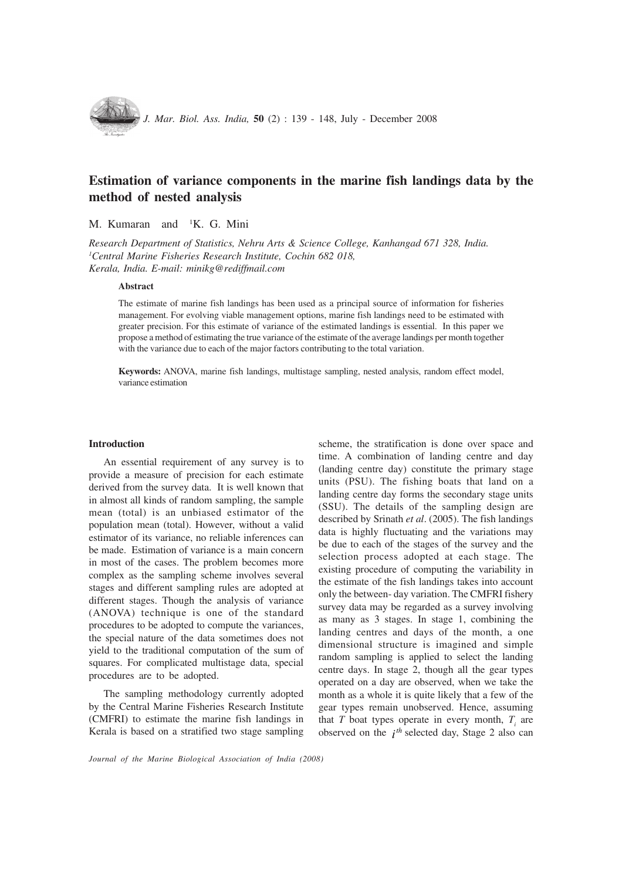

# Estimation of variance components in the marine fish landings data by the method of nested analysis

M. Kumaran and <sup>1</sup>K. G. Mini

Research Department of Statistics, Nehru Arts & Science College, Kanhangad 671 328, India. 1 Central Marine Fisheries Research Institute, Cochin 682 018, Kerala, India. E-mail: minikg@rediffmail.com

#### Abstract

The estimate of marine fish landings has been used as a principal source of information for fisheries management. For evolving viable management options, marine fish landings need to be estimated with greater precision. For this estimate of variance of the estimated landings is essential. In this paper we propose a method of estimating the true variance of the estimate of the average landings per month together with the variance due to each of the major factors contributing to the total variation.

Keywords: ANOVA, marine fish landings, multistage sampling, nested analysis, random effect model, variance estimation

#### **Introduction**

An essential requirement of any survey is to provide a measure of precision for each estimate derived from the survey data. It is well known that in almost all kinds of random sampling, the sample mean (total) is an unbiased estimator of the population mean (total). However, without a valid estimator of its variance, no reliable inferences can be made. Estimation of variance is a main concern in most of the cases. The problem becomes more complex as the sampling scheme involves several stages and different sampling rules are adopted at different stages. Though the analysis of variance (ANOVA) technique is one of the standard procedures to be adopted to compute the variances, the special nature of the data sometimes does not yield to the traditional computation of the sum of squares. For complicated multistage data, special procedures are to be adopted.

The sampling methodology currently adopted by the Central Marine Fisheries Research Institute (CMFRI) to estimate the marine fish landings in Kerala is based on a stratified two stage sampling

scheme, the stratification is done over space and time. A combination of landing centre and day (landing centre day) constitute the primary stage units (PSU). The fishing boats that land on a landing centre day forms the secondary stage units (SSU). The details of the sampling design are described by Srinath et al. (2005). The fish landings data is highly fluctuating and the variations may be due to each of the stages of the survey and the selection process adopted at each stage. The existing procedure of computing the variability in the estimate of the fish landings takes into account only the between- day variation. The CMFRI fishery survey data may be regarded as a survey involving as many as 3 stages. In stage 1, combining the landing centres and days of the month, a one dimensional structure is imagined and simple random sampling is applied to select the landing centre days. In stage 2, though all the gear types operated on a day are observed, when we take the month as a whole it is quite likely that a few of the gear types remain unobserved. Hence, assuming that T boat types operate in every month,  $T<sub>i</sub>$  are observed on the  $i^{th}$  selected day, Stage 2 also can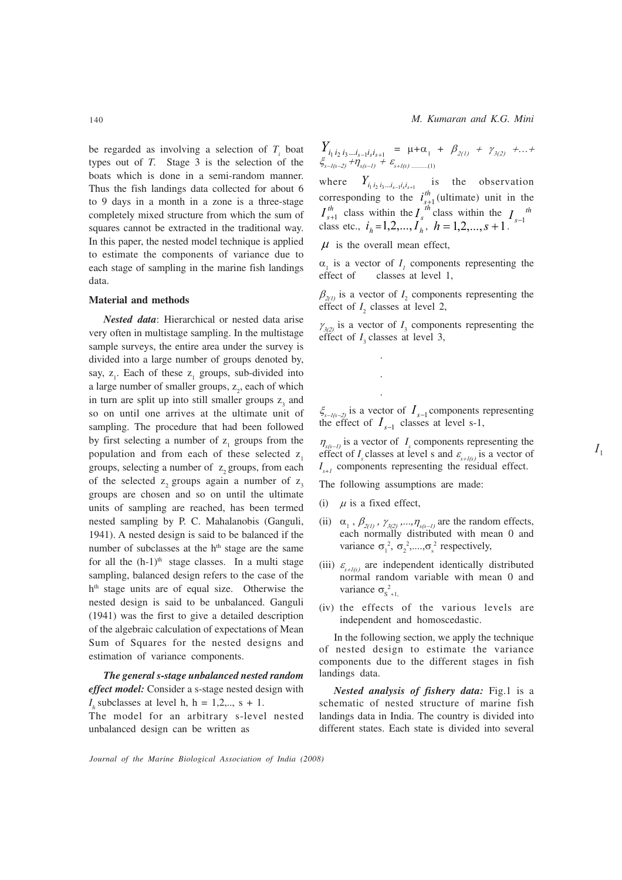M. Kumaran and K.G. Mini

be regarded as involving a selection of  $T_i$  boat types out of T. Stage 3 is the selection of the boats which is done in a semi-random manner. Thus the fish landings data collected for about 6 to 9 days in a month in a zone is a three-stage completely mixed structure from which the sum of squares cannot be extracted in the traditional way. In this paper, the nested model technique is applied to estimate the components of variance due to each stage of sampling in the marine fish landings data.

### Material and methods

Nested data: Hierarchical or nested data arise very often in multistage sampling. In the multistage sample surveys, the entire area under the survey is divided into a large number of groups denoted by, say,  $z_1$ . Each of these  $z_1$  groups, sub-divided into a large number of smaller groups,  $z_2$ , each of which in turn are split up into still smaller groups  $z_3$  and so on until one arrives at the ultimate unit of sampling. The procedure that had been followed by first selecting a number of  $z_1$  groups from the population and from each of these selected z. groups, selecting a number of z, groups, from each of the selected  $z_2$  groups again a number of  $z_3$ groups are chosen and so on until the ultimate units of sampling are reached, has been termed nested sampling by P. C. Mahalanobis (Ganguli, 1941). A nested design is said to be balanced if the number of subclasses at the  $h<sup>th</sup>$  stage are the same for all the  $(h-1)$ <sup>th</sup> stage classes. In a multi stage sampling, balanced design refers to the case of the h<sup>th</sup> stage units are of equal size. Otherwise the nested design is said to be unbalanced. Ganguli (1941) was the first to give a detailed description of the algebraic calculation of expectations of Mean Sum of Squares for the nested designs and estimation of variance components.

The general s-stage unbalanced nested random effect model: Consider a s-stage nested design with  $I_h$  subclasses at level h, h = 1,2,.., s + 1. The model for an arbitrary s-level nested unbalanced design can be written as

$$
\begin{array}{lll}\nY_{i_1 \, i_2 \, i_3 \, \dots i_{s-1} i_s i_{s+1}} & = & \mu + \alpha_1 + \beta_{2(1)} + \gamma_{3(2)} + \dots + \\
\xi_{s - I(s-2)} + \eta_{s(s-1)} + \varepsilon_{s + I(s) \, \dots \dots \dots (1)}\n\end{array}
$$

where  $Y_{i_1 i_2 i_3 \ldots i_{s-1} i_s i_{s+1}}$  is the observation corresponding to the  $i_{s+1}^{th}$  (ultimate) unit in the  $I_{s+1}^{th}$  class within the  $I_{s-1}^{th}$ class etc.,  $i_h = 1, 2, ..., I_h^s$ ,  $h = 1, 2, ..., s + 1$ .

 $\mu$  is the overall mean effect,

 $\alpha_1$  is a vector of  $I_1$  components representing the effect of classes at level 1,

 $\beta_{2(1)}$  is a vector of  $I_2$  components representing the effect of  $I_2$  classes at level 2,

 $\gamma_{3(2)}$  is a vector of  $I_3$  components representing the effect of  $I_3$  classes at level 3,

 $\xi_{s-I(s-2)}$  is a vector of  $I_{s-1}$  components representing  $\frac{s_{s-1(s-2)}}{s}$  is a vertex of  $I_{s-1}$  classes at level s-1,

 $\eta_{s(s-I)}$  is a vector of  $I_s$  components representing the effect of I<sub>s</sub> classes at level s and  $\varepsilon$ <sub>s+1(s)</sub> is a vector of  $I_{s+1}$  components representing the residual effect.

 $I_{1}$ 

The following assumptions are made:

(i)  $\mu$  is a fixed effect,

 . . .

- (ii)  $\alpha_1$ ,  $\beta_{2(1)}$ ,  $\gamma_{3(2)}$ , ...,  $\eta_{s(s-1)}$  are the random effects, each normally distributed with mean 0 and variance  $\sigma_1^2$ ,  $\sigma_2^2$ ,...., $\sigma_s^2$  respectively,
- (iii)  $\varepsilon$ <sub>s+1(s)</sub> are independent identically distributed normal random variable with mean 0 and variance  $\sigma_{s_{+1}}^2$
- (iv) the effects of the various levels are independent and homoscedastic.

In the following section, we apply the technique of nested design to estimate the variance components due to the different stages in fish landings data.

Nested analysis of fishery data: Fig.1 is a schematic of nested structure of marine fish landings data in India. The country is divided into different states. Each state is divided into several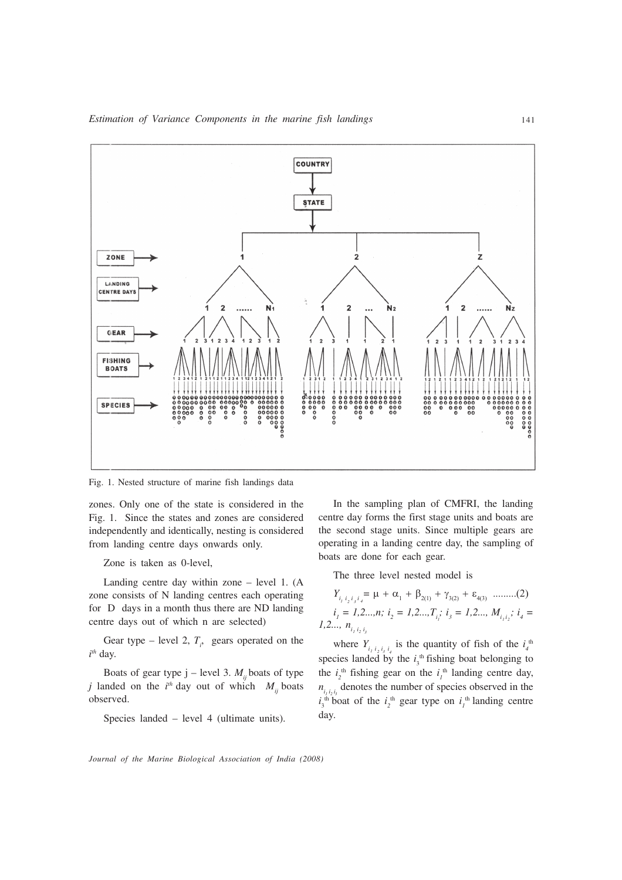

Fig. 1. Nested structure of marine fish landings data

zones. Only one of the state is considered in the Fig. 1. Since the states and zones are considered independently and identically, nesting is considered from landing centre days onwards only.

Zone is taken as 0-level,

Landing centre day within zone – level 1. (A zone consists of N landing centres each operating for D days in a month thus there are ND landing centre days out of which n are selected)

Gear type – level 2,  $T_i$ , gears operated on the  $i<sup>th</sup>$  day.

Boats of gear type j – level 3.  $M_i$  boats of type *j* landed on the  $i^{th}$  day out of which  $M_{ij}$  boats observed.

Species landed – level 4 (ultimate units).

In the sampling plan of CMFRI, the landing centre day forms the first stage units and boats are the second stage units. Since multiple gears are operating in a landing centre day, the sampling of boats are done for each gear.

The three level nested model is

$$
Y_{i_1 i_2 i_3 i_4} = \mu + \alpha_1 + \beta_{2(1)} + \gamma_{3(2)} + \varepsilon_{4(3)} \dots \dots \dots (2)
$$
  

$$
i_1 = 1, 2, ..., n; i_2 = 1, 2, ..., T_{i_j}; i_3 = 1, 2, ..., M_{i_j i_2}; i_4 = 1, 2, ..., n_{i_j i_2 i_j}
$$

where  $Y_{i_1 i_2 i_3 i_4}$  is the quantity of fish of the  $i_4$ <sup>th</sup> species landed by the  $i_3$ <sup>th</sup> fishing boat belonging to the  $i_2^{\text{th}}$  fishing gear on the  $i_j^{\text{th}}$  landing centre day,  $n_{i_1 i_2 i_3}$  denotes the number of species observed in the  $i_3$ <sup>th</sup> boat of the  $i_2$ <sup>th</sup> gear type on  $i_1$ <sup>th</sup> landing centre day.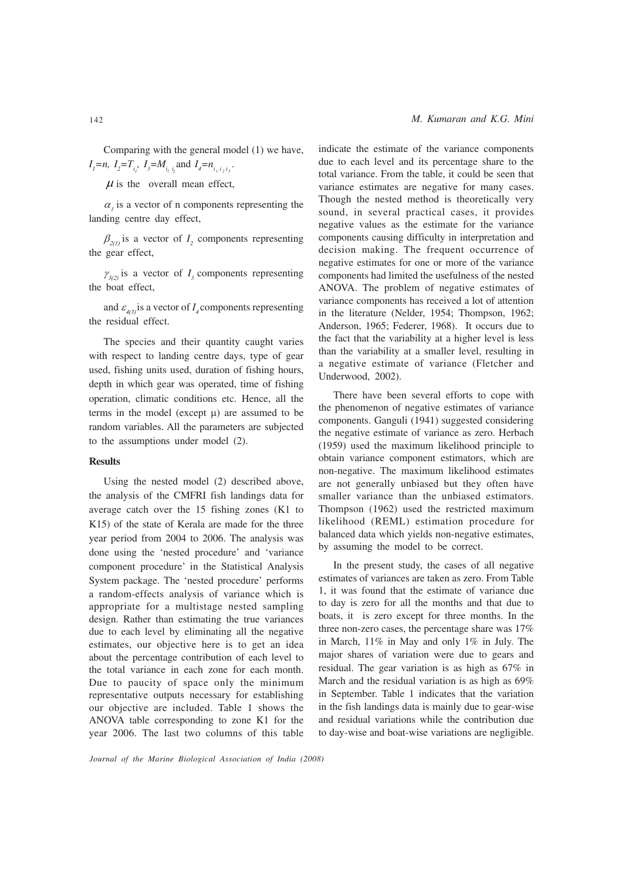Comparing with the general model (1) we have,  $I_1$ =n,  $I_2$ = $T_{i_1}$ ,  $I_3$ = $M_{i_1 i_2}$  and  $I_4$ = $n_{i_1 i_2 i_3}$ .

 $\mu$  is the overall mean effect,

 $\alpha_i$  is a vector of n components representing the landing centre day effect,

 $\beta_{2(1)}$  is a vector of  $I_2$  components representing the gear effect,

 $\gamma_{3(2)}$  is a vector of  $I_3$  components representing the boat effect,

and  $\varepsilon_{4(3)}$  is a vector of  $I_4$  components representing the residual effect.

The species and their quantity caught varies with respect to landing centre days, type of gear used, fishing units used, duration of fishing hours, depth in which gear was operated, time of fishing operation, climatic conditions etc. Hence, all the terms in the model (except  $\mu$ ) are assumed to be random variables. All the parameters are subjected to the assumptions under model (2).

### **Results**

Using the nested model (2) described above, the analysis of the CMFRI fish landings data for average catch over the 15 fishing zones (K1 to K15) of the state of Kerala are made for the three year period from 2004 to 2006. The analysis was done using the 'nested procedure' and 'variance component procedure' in the Statistical Analysis System package. The 'nested procedure' performs a random-effects analysis of variance which is appropriate for a multistage nested sampling design. Rather than estimating the true variances due to each level by eliminating all the negative estimates, our objective here is to get an idea about the percentage contribution of each level to the total variance in each zone for each month. Due to paucity of space only the minimum representative outputs necessary for establishing our objective are included. Table 1 shows the ANOVA table corresponding to zone K1 for the year 2006. The last two columns of this table indicate the estimate of the variance components due to each level and its percentage share to the total variance. From the table, it could be seen that variance estimates are negative for many cases. Though the nested method is theoretically very sound, in several practical cases, it provides negative values as the estimate for the variance components causing difficulty in interpretation and decision making. The frequent occurrence of negative estimates for one or more of the variance components had limited the usefulness of the nested ANOVA. The problem of negative estimates of variance components has received a lot of attention in the literature (Nelder, 1954; Thompson, 1962; Anderson, 1965; Federer, 1968). It occurs due to the fact that the variability at a higher level is less than the variability at a smaller level, resulting in a negative estimate of variance (Fletcher and Underwood, 2002).

There have been several efforts to cope with the phenomenon of negative estimates of variance components. Ganguli (1941) suggested considering the negative estimate of variance as zero. Herbach (1959) used the maximum likelihood principle to obtain variance component estimators, which are non-negative. The maximum likelihood estimates are not generally unbiased but they often have smaller variance than the unbiased estimators. Thompson (1962) used the restricted maximum likelihood (REML) estimation procedure for balanced data which yields non-negative estimates, by assuming the model to be correct.

In the present study, the cases of all negative estimates of variances are taken as zero. From Table 1, it was found that the estimate of variance due to day is zero for all the months and that due to boats, it is zero except for three months. In the three non-zero cases, the percentage share was 17% in March, 11% in May and only 1% in July. The major shares of variation were due to gears and residual. The gear variation is as high as 67% in March and the residual variation is as high as 69% in September. Table 1 indicates that the variation in the fish landings data is mainly due to gear-wise and residual variations while the contribution due to day-wise and boat-wise variations are negligible.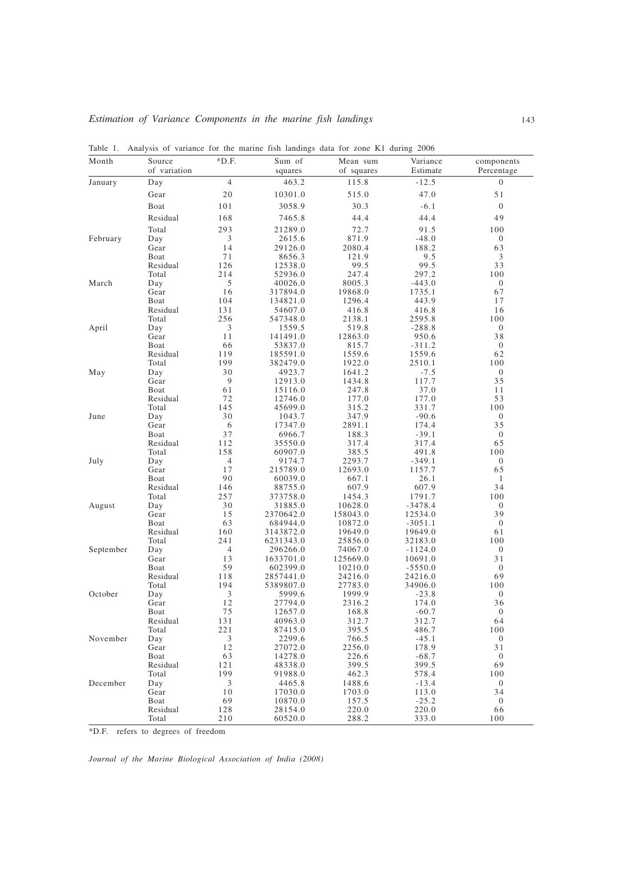| Month     | Source<br>of variation | $*D.F.$        | Sum of<br>squares     | Mean sum<br>of squares | Variance<br>Estimate | components<br>Percentage |
|-----------|------------------------|----------------|-----------------------|------------------------|----------------------|--------------------------|
| January   | Day                    | $\overline{4}$ | 463.2                 | 115.8                  | $-12.5$              | $\mathbf{0}$             |
|           | Gear                   | 20             | 10301.0               | 515.0                  | 47.0                 | 51                       |
|           | Boat                   | 101            | 3058.9                | 30.3                   | $-6.1$               | $\mathbf{0}$             |
|           | Residual               | 168            | 7465.8                | 44.4                   | 44.4                 | 49                       |
|           | Total                  | 293            | 21289.0               | 72.7                   | 91.5                 | 100                      |
| February  | Day                    | 3              | 2615.6                | 871.9                  | $-48.0$              | $\mathbf{0}$             |
|           | Gear                   | 14             | 29126.0               | 2080.4                 | 188.2                | 63                       |
|           | Boat                   | 71             | 8656.3                | 121.9                  | 9.5                  | $\mathfrak{Z}$           |
|           | Residual               | 126            | 12538.0               | 99.5                   | 99.5                 | 33                       |
|           | Total                  | 214            | 52936.0               | 247.4                  | 297.2                | 100                      |
| March     | Day                    | $\mathfrak{S}$ | 40026.0               | 8005.3                 | $-443.0$             | $\boldsymbol{0}$<br>67   |
|           | Gear<br>Boat           | 16<br>104      | 317894.0<br>134821.0  | 19868.0<br>1296.4      | 1735.1<br>443.9      | 17                       |
|           | Residual               | 131            | 54607.0               | 416.8                  | 416.8                | 16                       |
|           | Total                  | 256            | 547348.0              | 2138.1                 | 2595.8               | 100                      |
| April     | Day                    | 3              | 1559.5                | 519.8                  | $-288.8$             | $\mathbf{0}$             |
|           | Gear                   | 11             | 141491.0              | 12863.0                | 950.6                | 38                       |
|           | Boat                   | 66             | 53837.0               | 815.7                  | $-311.2$             | $\mathbf{0}$             |
|           | Residual               | 119<br>199     | 185591.0              | 1559.6                 | 1559.6               | 62                       |
| May       | Total<br>Day           | 30             | 382479.0<br>4923.7    | 1922.0<br>1641.2       | 2510.1<br>$-7.5$     | 100<br>$\boldsymbol{0}$  |
|           | Gear                   | 9              | 12913.0               | 1434.8                 | 117.7                | 35                       |
|           | Boat                   | 61             | 15116.0               | 247.8                  | 37.0                 | 11                       |
|           | Residual               | 72             | 12746.0               | 177.0                  | 177.0                | 53                       |
|           | Total                  | 145            | 45699.0               | 315.2                  | 331.7                | 100                      |
| June      | Day                    | 30             | 1043.7                | 347.9                  | $-90.6$              | $\boldsymbol{0}$         |
|           | Gear                   | 6              | 17347.0               | 2891.1                 | 174.4                | 35                       |
|           | Boat<br>Residual       | 37<br>112      | 6966.7<br>35550.0     | 188.3<br>317.4         | $-39.1$<br>317.4     | $\boldsymbol{0}$<br>65   |
|           | Total                  | 158            | 60907.0               | 385.5                  | 491.8                | 100                      |
| July      | Day                    | $\overline{4}$ | 9174.7                | 2293.7                 | $-349.1$             | $\boldsymbol{0}$         |
|           | Gear                   | 17             | 215789.0              | 12693.0                | 1157.7               | 65                       |
|           | Boat                   | 90             | 60039.0               | 667.1                  | 26.1                 | $\mathbf{1}$             |
|           | Residual               | 146            | 88755.0               | 607.9                  | 607.9                | 34                       |
|           | Total<br>Day           | 257<br>30      | 373758.0<br>31885.0   | 1454.3<br>10628.0      | 1791.7<br>$-3478.4$  | 100<br>$\mathbf{0}$      |
| August    | Gear                   | 15             | 2370642.0             | 158043.0               | 12534.0              | 39                       |
|           | Boat                   | 63             | 684944.0              | 10872.0                | $-3051.1$            | $\mathbf{0}$             |
|           | Residual               | 160            | 3143872.0             | 19649.0                | 19649.0              | 61                       |
|           | Total                  | 241            | 6231343.0             | 25856.0                | 32183.0              | 100                      |
| September | Day                    | $\overline{4}$ | 296266.0              | 74067.0                | $-1124.0$            | $\boldsymbol{0}$         |
|           | Gear                   | 13             | 1633701.0             | 125669.0               | 10691.0              | 31                       |
|           | Boat<br>Residual       | 59<br>118      | 602399.0<br>2857441.0 | 10210.0<br>24216.0     | $-5550.0$<br>24216.0 | $\mathbf{0}$<br>69       |
|           | Total                  | 194            | 5389807.0             | 27783.0                | 34906.0              | 100                      |
| October   | Day                    | 3              | 5999.6                | 1999.9                 | $-23.8$              | $\mathbf{0}$             |
|           | Gear                   | 12             | 27794.0               | 2316.2                 | 174.0                | 36                       |
|           | <b>B</b> oat           | 75             | 12657.0               | 168.8                  | $-60.7$              | $\mathbf{0}$             |
|           | Residual               | 131            | 40963.0               | 312.7                  | 312.7                | 64                       |
|           | Total                  | 221            | 87415.0               | 395.5                  | 486.7                | 100                      |
| November  | Day<br>Gear            | 3<br>12        | 2299.6<br>27072.0     | 766.5<br>2256.0        | $-45.1$<br>178.9     | $\theta$<br>31           |
|           | Boat                   | 63             | 14278.0               | 226.6                  | $-68.7$              | $\boldsymbol{0}$         |
|           | Residual               | 121            | 48338.0               | 399.5                  | 399.5                | 69                       |
|           | Total                  | 199            | 91988.0               | 462.3                  | 578.4                | 100                      |
| December  | Day                    | 3              | 4465.8                | 1488.6                 | $-13.4$              | $\theta$                 |
|           | Gear                   | 10             | 17030.0               | 1703.0                 | 113.0                | 34                       |
|           | Boat<br>Residual       | 69<br>128      | 10870.0<br>28154.0    | 157.5<br>220.0         | $-25.2$<br>220.0     | $\theta$<br>66           |
|           | Total                  | 210            | 60520.0               | 288.2                  | 333.0                | 100                      |

Table 1. Analysis of variance for the marine fish landings data for zone K1 during 2006

\*D.F. refers to degrees of freedom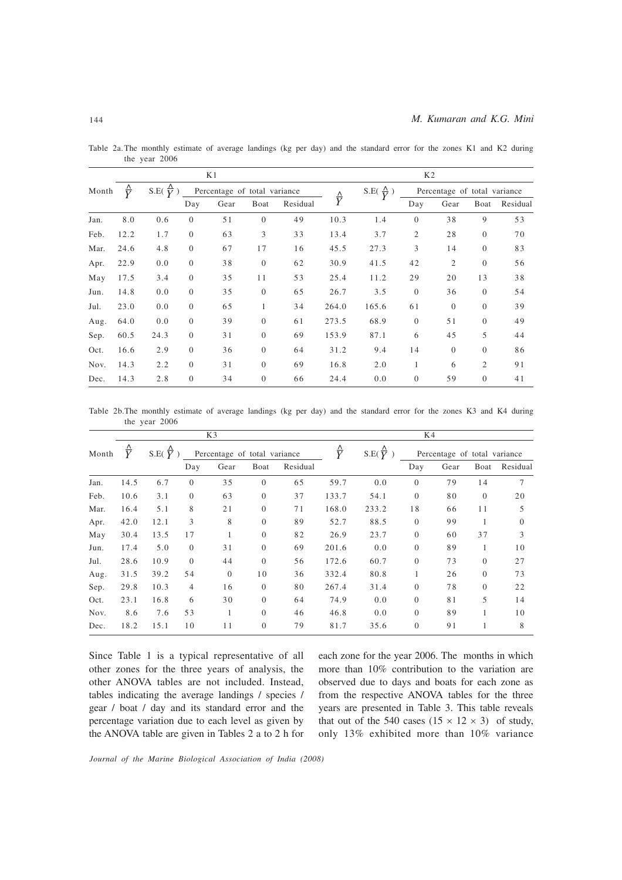|       |                     |                         |          | K1                           |                |          | K <sub>2</sub>     |                            |                |                              |                |          |
|-------|---------------------|-------------------------|----------|------------------------------|----------------|----------|--------------------|----------------------------|----------------|------------------------------|----------------|----------|
| Month | $\frac{\Lambda}{V}$ | S.E. $\frac{\Delta}{V}$ |          | Percentage of total variance |                |          |                    | S.E( $\frac{\Lambda}{V}$ ) |                | Percentage of total variance |                |          |
|       |                     |                         | Day      | Gear                         | Boat           | Residual | $\frac{\Delta}{Y}$ |                            | Day            | Gear                         | Boat           | Residual |
| Jan.  | 8.0                 | 0.6                     | $\theta$ | 51                           | $\theta$       | 49       | 10.3               | 1.4                        | $\theta$       | 38                           | 9              | 53       |
| Feb.  | 12.2                | 1.7                     | $\Omega$ | 63                           | 3              | 33       | 13.4               | 3.7                        | $\overline{2}$ | 28                           | $\theta$       | 70       |
| Mar.  | 24.6                | 4.8                     | $\theta$ | 67                           | 17             | 16       | 45.5               | 27.3                       | 3              | 14                           | $\theta$       | 83       |
| Apr.  | 22.9                | 0.0                     | $\theta$ | 38                           | $\overline{0}$ | 62       | 30.9               | 41.5                       | 42             | 2                            | $\overline{0}$ | 56       |
| May   | 17.5                | 3.4                     | $\theta$ | 35                           | 11             | 53       | 25.4               | 11.2                       | 29             | 20                           | 13             | 38       |
| Jun.  | 14.8                | 0.0                     | $\theta$ | 35                           | $\theta$       | 65       | 26.7               | 3.5                        | $\theta$       | 36                           | $\theta$       | 54       |
| Jul.  | 23.0                | 0.0                     | $\theta$ | 65                           | $\mathbf{1}$   | 34       | 264.0              | 165.6                      | 61             | $\theta$                     | $\theta$       | 39       |
| Aug.  | 64.0                | 0.0                     | $\theta$ | 39                           | $\theta$       | 61       | 273.5              | 68.9                       | $\theta$       | 51                           | $\overline{0}$ | 49       |
| Sep.  | 60.5                | 24.3                    | $\theta$ | 31                           | $\theta$       | 69       | 153.9              | 87.1                       | 6              | 45                           | 5              | 44       |
| Oct.  | 16.6                | 2.9                     | $\Omega$ | 36                           | $\theta$       | 64       | 31.2               | 9.4                        | 14             | $\Omega$                     | $\Omega$       | 86       |
| Nov.  | 14.3                | 2.2                     | $\theta$ | 31                           | $\theta$       | 69       | 16.8               | 2.0                        | 1              | 6                            | $\overline{2}$ | 91       |
| Dec.  | 14.3                | 2.8                     | $\theta$ | 34                           | $\overline{0}$ | 66       | 24.4               | 0.0                        | $\theta$       | 59                           | $\theta$       | 41       |

Table 2a. The monthly estimate of average landings (kg per day) and the standard error for the zones K1 and K2 during the year 2006

Table 2b.The monthly estimate of average landings (kg per day) and the standard error for the zones K3 and K4 during the year 2006

|       | K3   |                       |                              |          |                |                    | K4                        |       |                              |      |                |          |
|-------|------|-----------------------|------------------------------|----------|----------------|--------------------|---------------------------|-------|------------------------------|------|----------------|----------|
| Month | Y    | S.E( $\overline{Y}$ ) | Percentage of total variance |          |                | $\frac{\Delta}{Y}$ | S.E( $\frac{\Delta}{Y}$ ) |       | Percentage of total variance |      |                |          |
|       |      |                       | Day                          | Gear     | Boat           | Residual           |                           |       | Day                          | Gear | Boat           | Residual |
| Jan.  | 14.5 | 6.7                   | $\Omega$                     | 35       | $\Omega$       | 65                 | 59.7                      | 0.0   | $\Omega$                     | 79   | 14             | $\tau$   |
| Feb.  | 10.6 | 3.1                   | $\theta$                     | 63       | $\theta$       | 37                 | 133.7                     | 54.1  | $\overline{0}$               | 80   | $\theta$       | 20       |
| Mar.  | 16.4 | 5.1                   | 8                            | 21       | $\theta$       | 71                 | 168.0                     | 233.2 | 18                           | 66   | 11             | 5        |
| Apr.  | 42.0 | 12.1                  | 3                            | 8        | $\theta$       | 89                 | 52.7                      | 88.5  | $\overline{0}$               | 99   | 1              | $\Omega$ |
| May   | 30.4 | 13.5                  | 17                           | 1        | $\theta$       | 82                 | 26.9                      | 23.7  | $\theta$                     | 60   | 37             | 3        |
| Jun.  | 17.4 | 5.0                   | $\Omega$                     | 31       | $\Omega$       | 69                 | 201.6                     | 0.0   | $\theta$                     | 89   | 1              | 10       |
| Jul.  | 28.6 | 10.9                  | $\Omega$                     | 44       | $\theta$       | 56                 | 172.6                     | 60.7  | $\overline{0}$               | 73   | $\theta$       | 27       |
| Aug.  | 31.5 | 39.2                  | 54                           | $\Omega$ | 10             | 36                 | 332.4                     | 80.8  | 1                            | 26   | $\overline{0}$ | 73       |
| Sep.  | 29.8 | 10.3                  | $\overline{4}$               | 16       | $\overline{0}$ | 80                 | 267.4                     | 31.4  | $\overline{0}$               | 78   | $\overline{0}$ | 22       |
| Oct.  | 23.1 | 16.8                  | 6                            | 30       | $\theta$       | 64                 | 74.9                      | 0.0   | $\overline{0}$               | 81   | 5              | 14       |
| Nov.  | 8.6  | 7.6                   | 53                           | 1        | $\Omega$       | 46                 | 46.8                      | 0.0   | $\Omega$                     | 89   | 1              | 10       |
| Dec.  | 18.2 | 15.1                  | 10                           | 11       | $\theta$       | 79                 | 81.7                      | 35.6  | $\overline{0}$               | 91   | 1              | 8        |

Since Table 1 is a typical representative of all other zones for the three years of analysis, the other ANOVA tables are not included. Instead, tables indicating the average landings / species / gear / boat / day and its standard error and the percentage variation due to each level as given by the ANOVA table are given in Tables 2 a to 2 h for each zone for the year 2006. The months in which more than 10% contribution to the variation are observed due to days and boats for each zone as from the respective ANOVA tables for the three years are presented in Table 3. This table reveals that out of the 540 cases  $(15 \times 12 \times 3)$  of study, only 13% exhibited more than 10% variance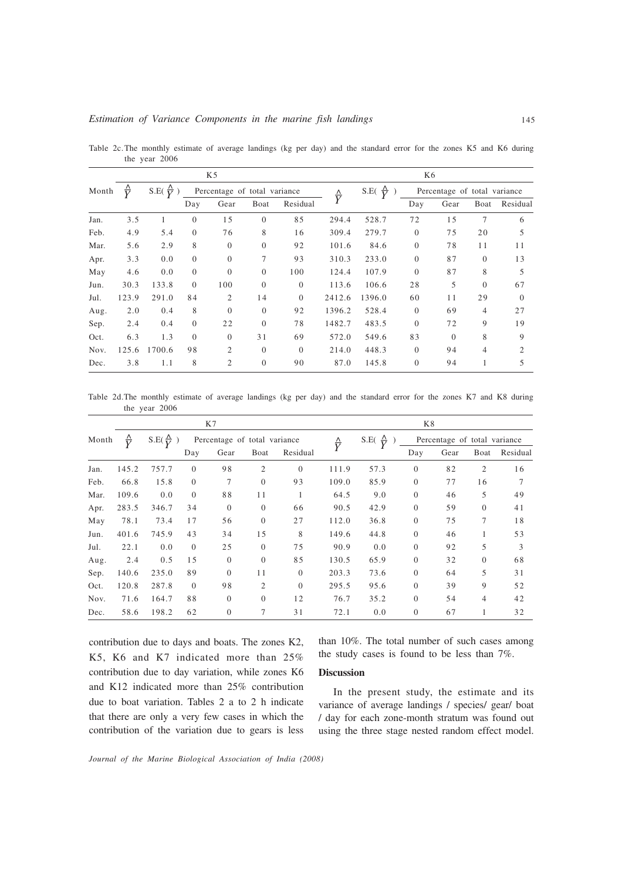|       |                    | K5                      |                              |                |          |                     |                             | K6     |                              |          |                |          |  |
|-------|--------------------|-------------------------|------------------------------|----------------|----------|---------------------|-----------------------------|--------|------------------------------|----------|----------------|----------|--|
| Month | $\frac{\Delta}{V}$ | S.E. $\frac{\Delta}{V}$ | Percentage of total variance |                |          | $\frac{\Lambda}{V}$ | $\frac{\Lambda}{V}$<br>S.E( |        | Percentage of total variance |          |                |          |  |
|       |                    |                         | Day                          | Gear           | Boat     | Residual            |                             |        | Day                          | Gear     | Boat           | Residual |  |
| Jan.  | 3.5                | 1                       | $\overline{0}$               | 15             | $\theta$ | 85                  | 294.4                       | 528.7  | 72                           | 15       | $\overline{7}$ | 6        |  |
| Feb.  | 4.9                | 5.4                     | $\Omega$                     | 76             | 8        | 16                  | 309.4                       | 279.7  | $\overline{0}$               | 75       | 20             | 5        |  |
| Mar.  | 5.6                | 2.9                     | 8                            | $\Omega$       | $\Omega$ | 92                  | 101.6                       | 84.6   | $\overline{0}$               | 78       | 11             | 11       |  |
| Apr.  | 3.3                | 0.0                     | $\theta$                     | $\theta$       | 7        | 93                  | 310.3                       | 233.0  | $\overline{0}$               | 87       | $\overline{0}$ | 13       |  |
| May   | 4.6                | 0.0                     | $\Omega$                     | $\Omega$       | $\theta$ | 100                 | 124.4                       | 107.9  | $\Omega$                     | 87       | 8              | 5        |  |
| Jun.  | 30.3               | 133.8                   | $\Omega$                     | 100            | $\Omega$ | $\Omega$            | 113.6                       | 106.6  | 28                           | 5        | $\overline{0}$ | 67       |  |
| Jul.  | 123.9              | 291.0                   | 84                           | 2              | 14       | $\Omega$            | 2412.6                      | 1396.0 | 60                           | 11       | 29             | $\Omega$ |  |
| Aug.  | 2.0                | 0.4                     | 8                            | $\Omega$       | $\theta$ | 92                  | 1396.2                      | 528.4  | $\theta$                     | 69       | 4              | 27       |  |
| Sep.  | 2.4                | 0.4                     | $\Omega$                     | 22             | $\Omega$ | 78                  | 1482.7                      | 483.5  | $\Omega$                     | 72       | 9              | 19       |  |
| Oct.  | 6.3                | 1.3                     | $\overline{0}$               | $\theta$       | 31       | 69                  | 572.0                       | 549.6  | 83                           | $\theta$ | 8              | 9        |  |
| Nov.  | 125.6              | 1700.6                  | 98                           | $\overline{c}$ | $\Omega$ | $\Omega$            | 214.0                       | 448.3  | $\Omega$                     | 94       | $\overline{4}$ | 2        |  |
| Dec.  | 3.8                | 1.1                     | 8                            | 2              | $\theta$ | 90                  | 87.0                        | 145.8  | $\overline{0}$               | 94       |                | 5        |  |

Table 2c.The monthly estimate of average landings (kg per day) and the standard error for the zones K5 and K6 during the year 2006

Table 2d.The monthly estimate of average landings (kg per day) and the standard error for the zones K7 and K8 during the year 2006

|       |                    | K7                      |                              |              |                |                |                    | K8                      |              |                              |              |          |  |
|-------|--------------------|-------------------------|------------------------------|--------------|----------------|----------------|--------------------|-------------------------|--------------|------------------------------|--------------|----------|--|
| Month | $\frac{\Delta}{V}$ | $S.E(\frac{\Delta}{V})$ | Percentage of total variance |              |                |                | $\frac{\Delta}{Y}$ | S.E. $\frac{\Delta}{V}$ |              | Percentage of total variance |              |          |  |
|       |                    |                         | Day                          | Gear         | Boat           | Residual       |                    |                         | Day          | Gear                         | Boat         | Residual |  |
| Jan.  | 145.2              | 757.7                   | $\Omega$                     | 98           | $\overline{2}$ | $\theta$       | 111.9              | 57.3                    | $\mathbf{0}$ | 82                           | 2            | 16       |  |
| Feb.  | 66.8               | 15.8                    | $\Omega$                     | 7            | $\theta$       | 93             | 109.0              | 85.9                    | $\mathbf{0}$ | 77                           | 16           |          |  |
| Mar.  | 109.6              | 0.0                     | $\Omega$                     | 88           | 11             | 1              | 64.5               | 9.0                     | $\mathbf{0}$ | 46                           | 5            | 49       |  |
| Apr.  | 283.5              | 346.7                   | 34                           | $\theta$     | $\theta$       | 66             | 90.5               | 42.9                    | $\mathbf{0}$ | 59                           | $\mathbf{0}$ | 41       |  |
| May   | 78.1               | 73.4                    | 17                           | 56           | $\theta$       | 27             | 112.0              | 36.8                    | $\mathbf{0}$ | 75                           | 7            | 18       |  |
| Jun.  | 401.6              | 745.9                   | 43                           | 34           | 15             | 8              | 149.6              | 44.8                    | $\mathbf{0}$ | 46                           |              | 53       |  |
| Jul.  | 22.1               | 0.0                     | $\Omega$                     | 25           | $\theta$       | 75             | 90.9               | 0.0                     | $\mathbf{0}$ | 92                           | 5            | 3        |  |
| Aug.  | 2.4                | 0.5                     | 15                           | $\theta$     | $\overline{0}$ | 85             | 130.5              | 65.9                    | $\mathbf{0}$ | 32                           | $\mathbf{0}$ | 68       |  |
| Sep.  | 140.6              | 235.0                   | 89                           | $\theta$     | 11             | $\overline{0}$ | 203.3              | 73.6                    | $\mathbf{0}$ | 64                           | 5            | 31       |  |
| Oct.  | 120.8              | 287.8                   | $\Omega$                     | 98           | $\overline{c}$ | $\Omega$       | 295.5              | 95.6                    | $\Omega$     | 39                           | 9            | 52       |  |
| Nov.  | 71.6               | 164.7                   | 88                           | $\Omega$     | $\Omega$       | 12             | 76.7               | 35.2                    | $\mathbf{0}$ | 54                           | 4            | 42       |  |
| Dec.  | 58.6               | 198.2                   | 62                           | $\mathbf{0}$ | 7              | 31             | 72.1               | 0.0                     | $\mathbf{0}$ | 67                           |              | 32       |  |

contribution due to days and boats. The zones K2, K5, K6 and K7 indicated more than 25% contribution due to day variation, while zones K6 and K12 indicated more than 25% contribution due to boat variation. Tables 2 a to 2 h indicate that there are only a very few cases in which the contribution of the variation due to gears is less than 10%. The total number of such cases among the study cases is found to be less than 7%.

# Discussion

In the present study, the estimate and its variance of average landings / species/ gear/ boat / day for each zone-month stratum was found out using the three stage nested random effect model.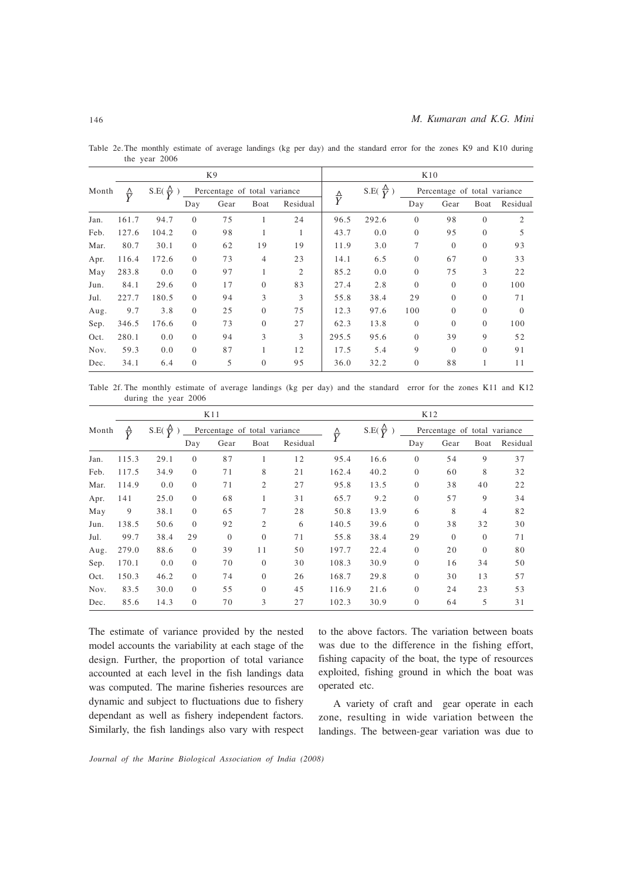|       |                    | K9                          |                              |      |                |          |                           | K10   |                              |          |          |          |  |
|-------|--------------------|-----------------------------|------------------------------|------|----------------|----------|---------------------------|-------|------------------------------|----------|----------|----------|--|
| Month | $\frac{\Delta}{Y}$ | $\frac{\Delta}{17}$<br>S.E( | Percentage of total variance |      |                |          | S.E( $\frac{\Delta}{V}$ ) |       | Percentage of total variance |          |          |          |  |
|       |                    |                             | Day                          | Gear | Boat           | Residual | $\frac{\Delta}{Y}$        |       | Day                          | Gear     | Boat     | Residual |  |
| Jan.  | 161.7              | 94.7                        | $\Omega$                     | 75   | 1              | 24       | 96.5                      | 292.6 | $\overline{0}$               | 98       | $\Omega$ | 2        |  |
| Feb.  | 127.6              | 104.2                       | $\overline{0}$               | 98   | 1              | 1        | 43.7                      | 0.0   | $\overline{0}$               | 95       | $\theta$ | 5        |  |
| Mar.  | 80.7               | 30.1                        | $\Omega$                     | 62   | 19             | 19       | 11.9                      | 3.0   | 7                            | $\Omega$ | $\theta$ | 93       |  |
| Apr.  | 116.4              | 172.6                       | $\Omega$                     | 73   | $\overline{4}$ | 23       | 14.1                      | 6.5   | $\overline{0}$               | 67       | $\theta$ | 33       |  |
| May   | 283.8              | 0.0                         | $\Omega$                     | 97   | 1              | 2        | 85.2                      | 0.0   | $\overline{0}$               | 75       | 3        | 22       |  |
| Jun.  | 84.1               | 29.6                        | $\Omega$                     | 17   | $\Omega$       | 83       | 27.4                      | 2.8   | $\Omega$                     | $\theta$ | $\theta$ | 100      |  |
| Jul.  | 227.7              | 180.5                       | $\Omega$                     | 94   | 3              | 3        | 55.8                      | 38.4  | 29                           | $\theta$ | $\theta$ | 71       |  |
| Aug.  | 9.7                | 3.8                         | $\Omega$                     | 25   | $\overline{0}$ | 75       | 12.3                      | 97.6  | 100                          | $\Omega$ | $\theta$ | $\Omega$ |  |
| Sep.  | 346.5              | 176.6                       | $\Omega$                     | 73   | $\Omega$       | 27       | 62.3                      | 13.8  | $\overline{0}$               | $\Omega$ | $\Omega$ | 100      |  |
| Oct.  | 280.1              | 0.0                         | $\Omega$                     | 94   | 3              | 3        | 295.5                     | 95.6  | $\overline{0}$               | 39       | 9        | 52       |  |
| Nov.  | 59.3               | 0.0                         | $\Omega$                     | 87   | 1              | 12       | 17.5                      | 5.4   | 9                            | $\Omega$ | $\Omega$ | 91       |  |
| Dec.  | 34.1               | 6.4                         | $\Omega$                     | 5    | $\overline{0}$ | 95       | 36.0                      | 32.2  | $\overline{0}$               | 88       | 1        | 11       |  |

Table 2e.The monthly estimate of average landings (kg per day) and the standard error for the zones K9 and K10 during the year 2006

Table 2f. The monthly estimate of average landings (kg per day) and the standard error for the zones K11 and K12 during the year 2006

|       |                    | K11                     |                              |          |                |                     |                         | K12  |                              |          |                |          |  |
|-------|--------------------|-------------------------|------------------------------|----------|----------------|---------------------|-------------------------|------|------------------------------|----------|----------------|----------|--|
| Month | $\frac{\Delta}{V}$ | S.E. $\frac{\Delta}{V}$ | Percentage of total variance |          |                | $\frac{\Lambda}{V}$ | $S.E(\frac{\Delta}{V})$ |      | Percentage of total variance |          |                |          |  |
|       |                    |                         | Day                          | Gear     | Boat           | Residual            |                         |      | Day                          | Gear     | Boat           | Residual |  |
| Jan.  | 115.3              | 29.1                    | $\theta$                     | 87       | 1              | 12                  | 95.4                    | 16.6 | $\theta$                     | 54       | 9              | 37       |  |
| Feb.  | 117.5              | 34.9                    | $\theta$                     | 71       | 8              | 21                  | 162.4                   | 40.2 | $\theta$                     | 60       | 8              | 32       |  |
| Mar.  | 114.9              | 0.0                     | $\Omega$                     | 71       | 2              | 27                  | 95.8                    | 13.5 | $\theta$                     | 38       | 40             | 22       |  |
| Apr.  | 141                | 25.0                    | $\theta$                     | 68       | 1              | 31                  | 65.7                    | 9.2  | $\theta$                     | 57       | 9              | 34       |  |
| May   | 9                  | 38.1                    | $\Omega$                     | 65       | 7              | 28                  | 50.8                    | 13.9 | 6                            | 8        | 4              | 82       |  |
| Jun.  | 138.5              | 50.6                    | $\Omega$                     | 92       | $\overline{2}$ | 6                   | 140.5                   | 39.6 | $\overline{0}$               | 38       | 32             | 30       |  |
| Jul.  | 99.7               | 38.4                    | 29                           | $\Omega$ | $\theta$       | 71                  | 55.8                    | 38.4 | 29                           | $\theta$ | $\overline{0}$ | 71       |  |
| Aug.  | 279.0              | 88.6                    | $\theta$                     | 39       | 11             | 50                  | 197.7                   | 22.4 | $\theta$                     | 20       | $\overline{0}$ | 80       |  |
| Sep.  | 170.1              | 0.0                     | $\theta$                     | 70       | $\theta$       | 30                  | 108.3                   | 30.9 | $\theta$                     | 16       | 34             | 50       |  |
| Oct.  | 150.3              | 46.2                    | $\Omega$                     | 74       | $\theta$       | 26                  | 168.7                   | 29.8 | $\Omega$                     | 30       | 13             | 57       |  |
| Nov.  | 83.5               | 30.0                    | $\Omega$                     | 55       | $\theta$       | 45                  | 116.9                   | 21.6 | $\theta$                     | 24       | 23             | 53       |  |
| Dec.  | 85.6               | 14.3                    | $\Omega$                     | 70       | 3              | 27                  | 102.3                   | 30.9 | $\theta$                     | 64       | 5              | 31       |  |

The estimate of variance provided by the nested model accounts the variability at each stage of the design. Further, the proportion of total variance accounted at each level in the fish landings data was computed. The marine fisheries resources are dynamic and subject to fluctuations due to fishery dependant as well as fishery independent factors. Similarly, the fish landings also vary with respect

to the above factors. The variation between boats was due to the difference in the fishing effort, fishing capacity of the boat, the type of resources exploited, fishing ground in which the boat was operated etc.

A variety of craft and gear operate in each zone, resulting in wide variation between the landings. The between-gear variation was due to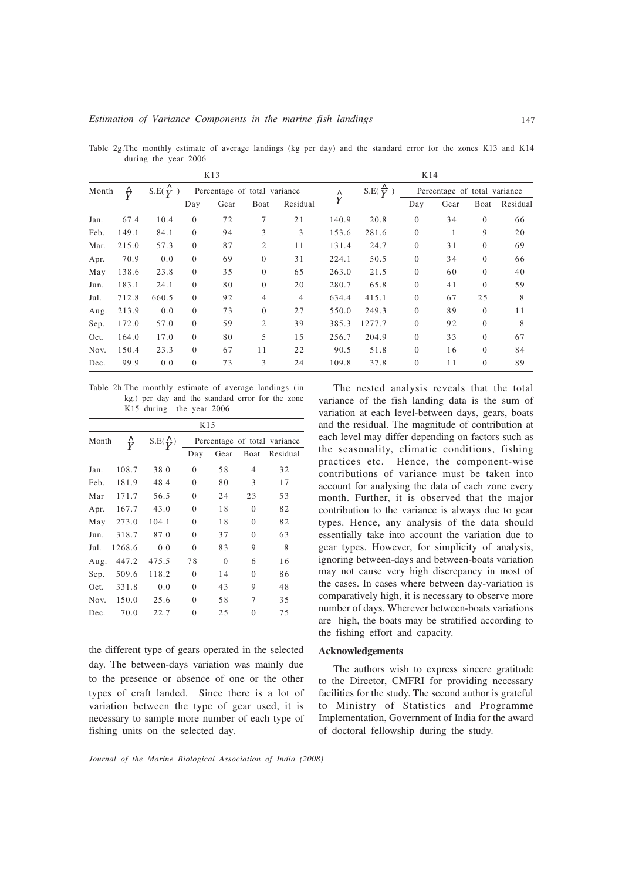|       |                     |                          |                | K13                          |                |                | K14                |                         |                |                              |          |          |
|-------|---------------------|--------------------------|----------------|------------------------------|----------------|----------------|--------------------|-------------------------|----------------|------------------------------|----------|----------|
| Month | $\frac{\Lambda}{V}$ | $S.E(\frac{\Lambda}{V})$ |                | Percentage of total variance |                |                |                    | $S.E(\frac{\Delta}{V})$ |                | Percentage of total variance |          |          |
|       |                     |                          | Day            | Gear                         | Boat           | Residual       | $\frac{\Delta}{Y}$ |                         | Day            | Gear                         | Boat     | Residual |
| Jan.  | 67.4                | 10.4                     | $\Omega$       | 72                           | $\overline{7}$ | 21             | 140.9              | 20.8                    | $\overline{0}$ | 34                           | $\theta$ | 66       |
| Feb.  | 149.1               | 84.1                     | $\Omega$       | 94                           | 3              | 3              | 153.6              | 281.6                   | $\overline{0}$ | 1                            | 9        | 20       |
| Mar.  | 215.0               | 57.3                     | $\Omega$       | 87                           | $\overline{2}$ | 11             | 131.4              | 24.7                    | $\overline{0}$ | 31                           | $\theta$ | 69       |
| Apr.  | 70.9                | 0.0                      | $\Omega$       | 69                           | $\Omega$       | 31             | 224.1              | 50.5                    | $\overline{0}$ | 34                           | $\theta$ | 66       |
| May   | 138.6               | 23.8                     | $\Omega$       | 35                           | $\mathbf{0}$   | 65             | 263.0              | 21.5                    | $\overline{0}$ | 60                           | $\theta$ | 40       |
| Jun.  | 183.1               | 24.1                     | $\Omega$       | 80                           | $\mathbf{0}$   | 20             | 280.7              | 65.8                    | $\overline{0}$ | 41                           | $\theta$ | 59       |
| Jul.  | 712.8               | 660.5                    | $\Omega$       | 92                           | $\overline{4}$ | $\overline{4}$ | 634.4              | 415.1                   | $\overline{0}$ | 67                           | 25       | 8        |
| Aug.  | 213.9               | 0.0                      | $\Omega$       | 73                           | $\Omega$       | 27             | 550.0              | 249.3                   | $\Omega$       | 89                           | $\Omega$ | 11       |
| Sep.  | 172.0               | 57.0                     | $\overline{0}$ | 59                           | $\overline{2}$ | 39             | 385.3              | 1277.7                  | $\overline{0}$ | 92                           | $\theta$ | 8        |
| Oct.  | 164.0               | 17.0                     | $\Omega$       | 80                           | 5              | 15             | 256.7              | 204.9                   | $\overline{0}$ | 33                           | $\theta$ | 67       |
| Nov.  | 150.4               | 23.3                     | $\Omega$       | 67                           | 11             | 22             | 90.5               | 51.8                    | $\Omega$       | 16                           | $\Omega$ | 84       |
| Dec.  | 99.9                | 0.0                      | $\Omega$       | 73                           | 3              | 24             | 109.8              | 37.8                    | $\overline{0}$ | 11                           | $\theta$ | 89       |

Table 2g.The monthly estimate of average landings (kg per day) and the standard error for the zones K13 and K14 during the year 2006

Table 2h.The monthly estimate of average landings (in kg.) per day and the standard error for the zone K15 during the year 2006

|       |        |                         | K15            |          |                |                              |
|-------|--------|-------------------------|----------------|----------|----------------|------------------------------|
| Month |        | $S.E(\frac{\Delta}{V})$ |                |          |                | Percentage of total variance |
|       |        |                         | Day            | Gear     | Boat           | Residual                     |
| Jan.  | 108.7  | 38.0                    | $\Omega$       | 58       | $\overline{4}$ | 32                           |
| Feb.  | 181.9  | 48.4                    | $\theta$       | 80       | 3              | 17                           |
| Mar   | 171.7  | 56.5                    | $\theta$       | 24       | 23             | 53                           |
| Apr.  | 167.7  | 43.0                    | $\theta$       | 18       | $\theta$       | 82                           |
| May   | 273.0  | 104.1                   | $\theta$       | 18       | $\Omega$       | 82                           |
| Jun.  | 318.7  | 87.0                    | $\Omega$       | 37       | $\Omega$       | 63                           |
| Jul.  | 1268.6 | 0.0                     | $\theta$       | 83       | 9              | 8                            |
| Aug.  | 447.2  | 475.5                   | 78             | $\theta$ | 6              | 16                           |
| Sep.  | 509.6  | 118.2                   | $\overline{0}$ | 14       | $\mathbf{0}$   | 86                           |
| Oct.  | 331.8  | 0.0                     | $\Omega$       | 43       | 9              | 48                           |
| Nov.  | 150.0  | 25.6                    | $\overline{0}$ | 58       | 7              | 35                           |
| Dec.  | 70.0   | 22.7                    | $\overline{0}$ | 25       | $\theta$       | 75                           |

the different type of gears operated in the selected day. The between-days variation was mainly due to the presence or absence of one or the other types of craft landed. Since there is a lot of variation between the type of gear used, it is necessary to sample more number of each type of fishing units on the selected day.

The nested analysis reveals that the total variance of the fish landing data is the sum of variation at each level-between days, gears, boats and the residual. The magnitude of contribution at each level may differ depending on factors such as the seasonality, climatic conditions, fishing practices etc. Hence, the component-wise contributions of variance must be taken into account for analysing the data of each zone every month. Further, it is observed that the major contribution to the variance is always due to gear types. Hence, any analysis of the data should essentially take into account the variation due to gear types. However, for simplicity of analysis, ignoring between-days and between-boats variation may not cause very high discrepancy in most of the cases. In cases where between day-variation is comparatively high, it is necessary to observe more number of days. Wherever between-boats variations are high, the boats may be stratified according to the fishing effort and capacity.

## Acknowledgements

The authors wish to express sincere gratitude to the Director, CMFRI for providing necessary facilities for the study. The second author is grateful to Ministry of Statistics and Programme Implementation, Government of India for the award of doctoral fellowship during the study.